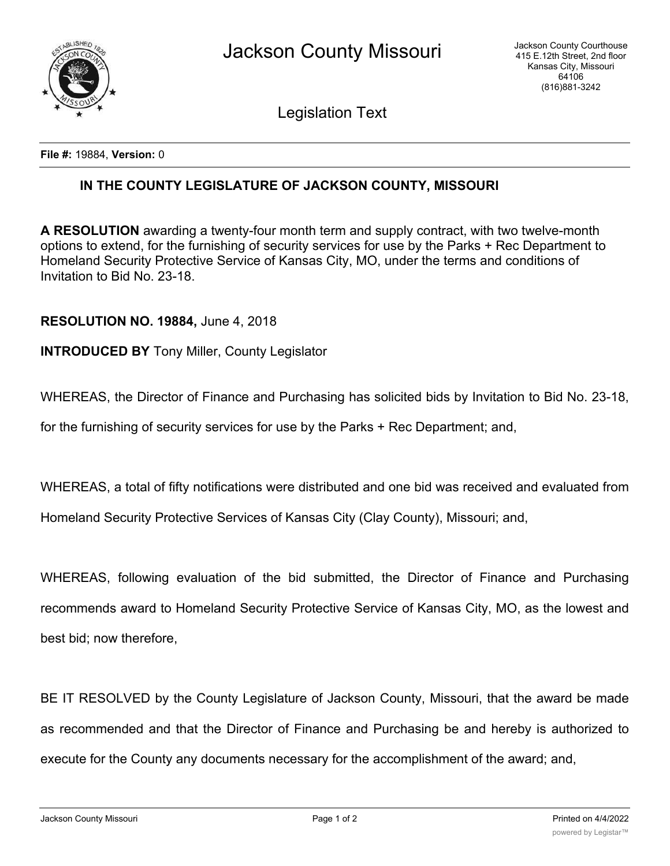

Legislation Text

**File #:** 19884, **Version:** 0

## **IN THE COUNTY LEGISLATURE OF JACKSON COUNTY, MISSOURI**

**A RESOLUTION** awarding a twenty-four month term and supply contract, with two twelve-month options to extend, for the furnishing of security services for use by the Parks + Rec Department to Homeland Security Protective Service of Kansas City, MO, under the terms and conditions of Invitation to Bid No. 23-18.

## **RESOLUTION NO. 19884,** June 4, 2018

## **INTRODUCED BY** Tony Miller, County Legislator

WHEREAS, the Director of Finance and Purchasing has solicited bids by Invitation to Bid No. 23-18,

for the furnishing of security services for use by the Parks + Rec Department; and,

WHEREAS, a total of fifty notifications were distributed and one bid was received and evaluated from

Homeland Security Protective Services of Kansas City (Clay County), Missouri; and,

WHEREAS, following evaluation of the bid submitted, the Director of Finance and Purchasing recommends award to Homeland Security Protective Service of Kansas City, MO, as the lowest and best bid; now therefore,

BE IT RESOLVED by the County Legislature of Jackson County, Missouri, that the award be made as recommended and that the Director of Finance and Purchasing be and hereby is authorized to execute for the County any documents necessary for the accomplishment of the award; and,